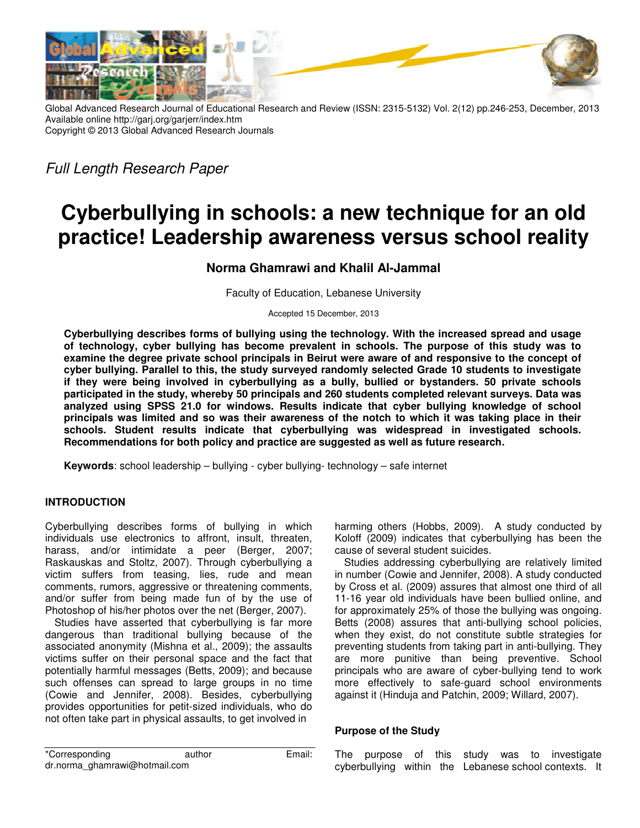

Global Advanced Research Journal of Educational Research and Review (ISSN: 2315-5132) Vol. 2(12) pp.246-253, December, 2013 Available online http://garj.org/garjerr/index.htm Copyright © 2013 Global Advanced Research Journals

*Full Length Research Paper* 

# **Cyberbullying in schools: a new technique for an old practice! Leadership awareness versus school reality**

## **Norma Ghamrawi and Khalil Al-Jammal**

Faculty of Education, Lebanese University

Accepted 15 December, 2013

**Cyberbullying describes forms of bullying using the technology. With the increased spread and usage of technology, cyber bullying has become prevalent in schools. The purpose of this study was to examine the degree private school principals in Beirut were aware of and responsive to the concept of cyber bullying. Parallel to this, the study surveyed randomly selected Grade 10 students to investigate if they were being involved in cyberbullying as a bully, bullied or bystanders. 50 private schools participated in the study, whereby 50 principals and 260 students completed relevant surveys. Data was analyzed using SPSS 21.0 for windows. Results indicate that cyber bullying knowledge of school principals was limited and so was their awareness of the notch to which it was taking place in their schools. Student results indicate that cyberbullying was widespread in investigated schools. Recommendations for both policy and practice are suggested as well as future research.** 

**Keywords**: school leadership – bullying - cyber bullying- technology – safe internet

## **INTRODUCTION**

Cyberbullying describes forms of bullying in which individuals use electronics to affront, insult, threaten, harass, and/or intimidate a peer (Berger, 2007; Raskauskas and Stoltz, 2007). Through cyberbullying a victim suffers from teasing, lies, rude and mean comments, rumors, aggressive or threatening comments, and/or suffer from being made fun of by the use of Photoshop of his/her photos over the net (Berger, 2007).

Studies have asserted that cyberbullying is far more dangerous than traditional bullying because of the associated anonymity (Mishna et al., 2009); the assaults victims suffer on their personal space and the fact that potentially harmful messages (Betts, 2009); and because such offenses can spread to large groups in no time (Cowie and Jennifer, 2008). Besides, cyberbullying provides opportunities for petit-sized individuals, who do not often take part in physical assaults, to get involved in

\*Corresponding author Email: dr.norma\_ghamrawi@hotmail.com

harming others (Hobbs, 2009). A study conducted by Koloff (2009) indicates that cyberbullying has been the cause of several student suicides.

Studies addressing cyberbullying are relatively limited in number (Cowie and Jennifer, 2008). A study conducted by Cross et al. (2009) assures that almost one third of all 11-16 year old individuals have been bullied online, and for approximately 25% of those the bullying was ongoing. Betts (2008) assures that anti-bullying school policies, when they exist, do not constitute subtle strategies for preventing students from taking part in anti-bullying. They are more punitive than being preventive. School principals who are aware of cyber-bullying tend to work more effectively to safe-guard school environments against it (Hinduja and Patchin, 2009; Willard, 2007).

## **Purpose of the Study**

The purpose of this study was to investigate cyberbullying within the Lebanese school contexts. It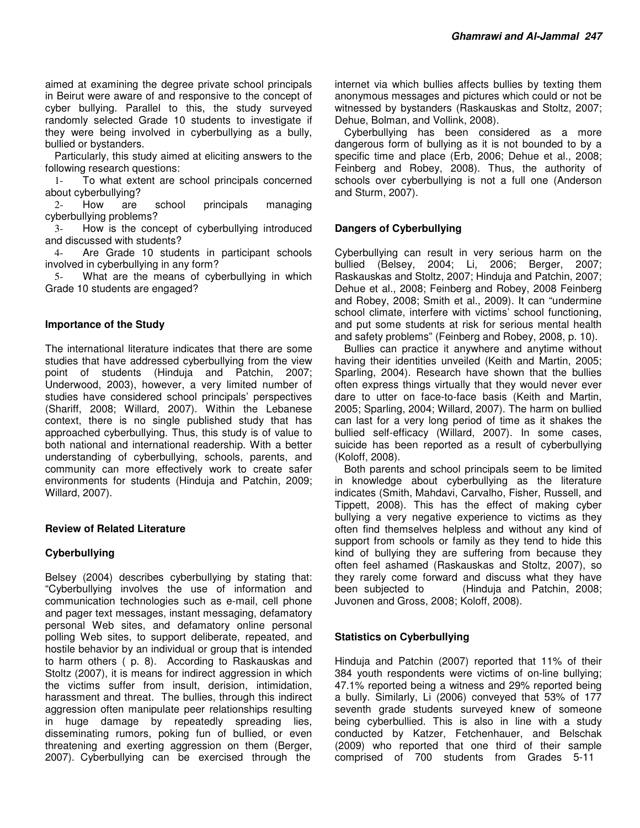aimed at examining the degree private school principals in Beirut were aware of and responsive to the concept of cyber bullying. Parallel to this, the study surveyed randomly selected Grade 10 students to investigate if they were being involved in cyberbullying as a bully, bullied or bystanders.

Particularly, this study aimed at eliciting answers to the following research questions:

1- To what extent are school principals concerned about cyberbullying?

2- How are school principals managing cyberbullying problems?

3- How is the concept of cyberbullying introduced and discussed with students?

4- Are Grade 10 students in participant schools involved in cyberbullying in any form?

5- What are the means of cyberbullying in which Grade 10 students are engaged?

#### **Importance of the Study**

The international literature indicates that there are some studies that have addressed cyberbullying from the view point of students (Hinduja and Patchin, 2007; Underwood, 2003), however, a very limited number of studies have considered school principals' perspectives (Shariff, 2008; Willard, 2007). Within the Lebanese context, there is no single published study that has approached cyberbullying. Thus, this study is of value to both national and international readership. With a better understanding of cyberbullying, schools, parents, and community can more effectively work to create safer environments for students (Hinduja and Patchin, 2009; Willard, 2007).

#### **Review of Related Literature**

## **Cyberbullying**

Belsey (2004) describes cyberbullying by stating that: "Cyberbullying involves the use of information and communication technologies such as e-mail, cell phone and pager text messages, instant messaging, defamatory personal Web sites, and defamatory online personal polling Web sites, to support deliberate, repeated, and hostile behavior by an individual or group that is intended to harm others ( p. 8). According to Raskauskas and Stoltz (2007), it is means for indirect aggression in which the victims suffer from insult, derision, intimidation, harassment and threat. The bullies, through this indirect aggression often manipulate peer relationships resulting in huge damage by repeatedly spreading lies, disseminating rumors, poking fun of bullied, or even threatening and exerting aggression on them (Berger, 2007). Cyberbullying can be exercised through the

internet via which bullies affects bullies by texting them anonymous messages and pictures which could or not be witnessed by bystanders (Raskauskas and Stoltz, 2007; Dehue, Bolman, and Vollink, 2008).

Cyberbullying has been considered as a more dangerous form of bullying as it is not bounded to by a specific time and place (Erb, 2006; Dehue et al., 2008; Feinberg and Robey, 2008). Thus, the authority of schools over cyberbullying is not a full one (Anderson and Sturm, 2007).

#### **Dangers of Cyberbullying**

Cyberbullying can result in very serious harm on the bullied (Belsey, 2004; Li, 2006; Berger, 2007; Raskauskas and Stoltz, 2007; Hinduja and Patchin, 2007; Dehue et al., 2008; Feinberg and Robey, 2008 Feinberg and Robey, 2008; Smith et al., 2009). It can "undermine school climate, interfere with victims' school functioning, and put some students at risk for serious mental health and safety problems" (Feinberg and Robey, 2008, p. 10).

Bullies can practice it anywhere and anytime without having their identities unveiled (Keith and Martin, 2005; Sparling, 2004). Research have shown that the bullies often express things virtually that they would never ever dare to utter on face-to-face basis (Keith and Martin, 2005; Sparling, 2004; Willard, 2007). The harm on bullied can last for a very long period of time as it shakes the bullied self-efficacy (Willard, 2007). In some cases, suicide has been reported as a result of cyberbullying (Koloff, 2008).

Both parents and school principals seem to be limited in knowledge about cyberbullying as the literature indicates (Smith, Mahdavi, Carvalho, Fisher, Russell, and Tippett, 2008). This has the effect of making cyber bullying a very negative experience to victims as they often find themselves helpless and without any kind of support from schools or family as they tend to hide this kind of bullying they are suffering from because they often feel ashamed (Raskauskas and Stoltz, 2007), so they rarely come forward and discuss what they have been subjected to (Hinduja and Patchin, 2008; Juvonen and Gross, 2008; Koloff, 2008).

#### **Statistics on Cyberbullying**

Hinduja and Patchin (2007) reported that 11% of their 384 youth respondents were victims of on-line bullying; 47.1% reported being a witness and 29% reported being a bully. Similarly, Li (2006) conveyed that 53% of 177 seventh grade students surveyed knew of someone being cyberbullied. This is also in line with a study conducted by Katzer, Fetchenhauer, and Belschak (2009) who reported that one third of their sample comprised of 700 students from Grades 5-11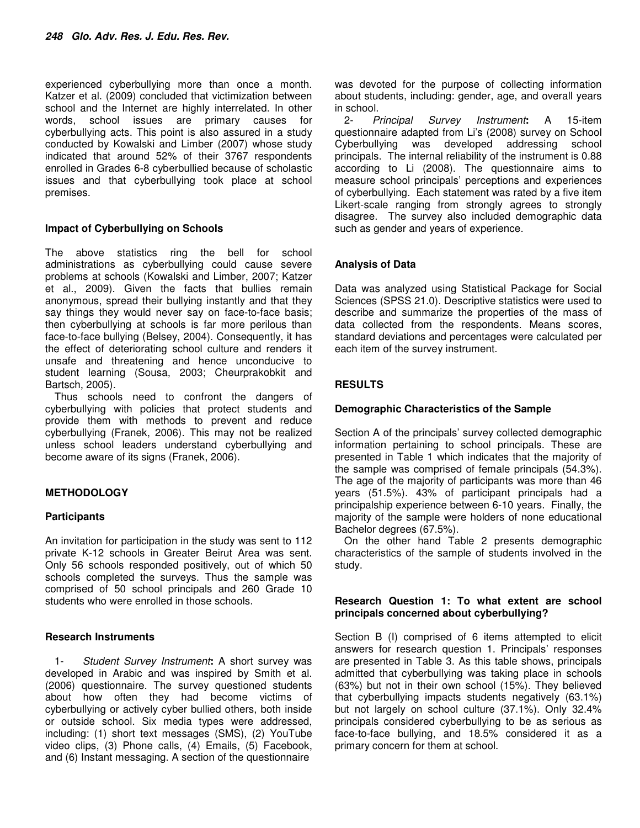experienced cyberbullying more than once a month. Katzer et al. (2009) concluded that victimization between school and the Internet are highly interrelated. In other words, school issues are primary causes for cyberbullying acts. This point is also assured in a study conducted by Kowalski and Limber (2007) whose study indicated that around 52% of their 3767 respondents enrolled in Grades 6-8 cyberbullied because of scholastic issues and that cyberbullying took place at school premises.

#### **Impact of Cyberbullying on Schools**

The above statistics ring the bell for school administrations as cyberbullying could cause severe problems at schools (Kowalski and Limber, 2007; Katzer et al., 2009). Given the facts that bullies remain anonymous, spread their bullying instantly and that they say things they would never say on face-to-face basis; then cyberbullying at schools is far more perilous than face-to-face bullying (Belsey, 2004). Consequently, it has the effect of deteriorating school culture and renders it unsafe and threatening and hence unconducive to student learning (Sousa, 2003; Cheurprakobkit and Bartsch, 2005).

Thus schools need to confront the dangers of cyberbullying with policies that protect students and provide them with methods to prevent and reduce cyberbullying (Franek, 2006). This may not be realized unless school leaders understand cyberbullying and become aware of its signs (Franek, 2006).

## **METHODOLOGY**

## **Participants**

An invitation for participation in the study was sent to 112 private K-12 schools in Greater Beirut Area was sent. Only 56 schools responded positively, out of which 50 schools completed the surveys. Thus the sample was comprised of 50 school principals and 260 Grade 10 students who were enrolled in those schools.

#### **Research Instruments**

1- *Student Survey Instrument***:** A short survey was developed in Arabic and was inspired by Smith et al. (2006) questionnaire. The survey questioned students about how often they had become victims of cyberbullying or actively cyber bullied others, both inside or outside school. Six media types were addressed, including: (1) short text messages (SMS), (2) YouTube video clips, (3) Phone calls, (4) Emails, (5) Facebook, and (6) Instant messaging. A section of the questionnaire

was devoted for the purpose of collecting information about students, including: gender, age, and overall years in school.

2- *Principal Survey Instrument***:** A 15-item questionnaire adapted from Li's (2008) survey on School Cyberbullying was developed addressing school principals. The internal reliability of the instrument is 0.88 according to Li (2008). The questionnaire aims to measure school principals' perceptions and experiences of cyberbullying. Each statement was rated by a five item Likert-scale ranging from strongly agrees to strongly disagree. The survey also included demographic data such as gender and years of experience.

## **Analysis of Data**

Data was analyzed using Statistical Package for Social Sciences (SPSS 21.0). Descriptive statistics were used to describe and summarize the properties of the mass of data collected from the respondents. Means scores, standard deviations and percentages were calculated per each item of the survey instrument.

## **RESULTS**

### **Demographic Characteristics of the Sample**

Section A of the principals' survey collected demographic information pertaining to school principals. These are presented in Table 1 which indicates that the majority of the sample was comprised of female principals (54.3%). The age of the majority of participants was more than 46 years (51.5%). 43% of participant principals had a principalship experience between 6-10 years. Finally, the majority of the sample were holders of none educational Bachelor degrees (67.5%).

On the other hand Table 2 presents demographic characteristics of the sample of students involved in the study.

#### **Research Question 1: To what extent are school principals concerned about cyberbullying?**

Section B (I) comprised of 6 items attempted to elicit answers for research question 1. Principals' responses are presented in Table 3. As this table shows, principals admitted that cyberbullying was taking place in schools (63%) but not in their own school (15%). They believed that cyberbullying impacts students negatively (63.1%) but not largely on school culture (37.1%). Only 32.4% principals considered cyberbullying to be as serious as face-to-face bullying, and 18.5% considered it as a primary concern for them at school.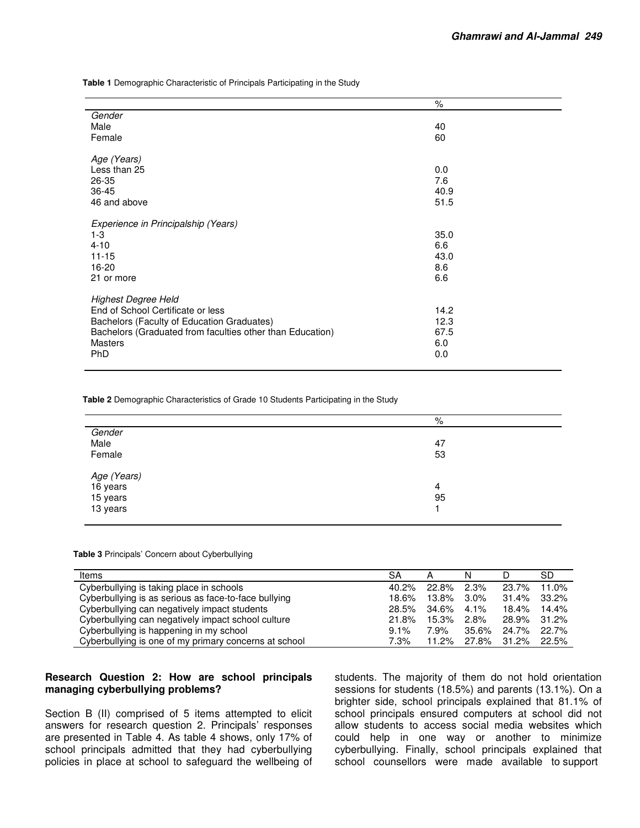**Table 1** Demographic Characteristic of Principals Participating in the Study

|                                                           | $\%$ |
|-----------------------------------------------------------|------|
| Gender                                                    |      |
| Male                                                      | 40   |
| Female                                                    | 60   |
|                                                           |      |
| Age (Years)                                               |      |
| Less than 25                                              | 0.0  |
| 26-35                                                     | 7.6  |
| 36-45                                                     | 40.9 |
| 46 and above                                              | 51.5 |
|                                                           |      |
| Experience in Principalship (Years)                       |      |
| $1-3$                                                     | 35.0 |
| $4 - 10$                                                  | 6.6  |
| $11 - 15$                                                 | 43.0 |
| 16-20                                                     | 8.6  |
| 21 or more                                                | 6.6  |
|                                                           |      |
| <b>Highest Degree Held</b>                                |      |
| End of School Certificate or less                         | 14.2 |
| Bachelors (Faculty of Education Graduates)                | 12.3 |
| Bachelors (Graduated from faculties other than Education) | 67.5 |
| <b>Masters</b>                                            | 6.0  |
| <b>PhD</b>                                                | 0.0  |
|                                                           |      |

**Table 2** Demographic Characteristics of Grade 10 Students Participating in the Study

|                                                 | %  |
|-------------------------------------------------|----|
| Gender                                          |    |
| Male                                            | 47 |
| Female                                          | 53 |
| Age (Years)<br>16 years<br>15 years<br>13 years |    |
|                                                 | 4  |
|                                                 | 95 |
|                                                 |    |
|                                                 |    |

**Table 3** Principals' Concern about Cyberbullying

| Items                                                 | SA      |       | N       |       | SD          |
|-------------------------------------------------------|---------|-------|---------|-------|-------------|
| Cyberbullying is taking place in schools              | 40.2%   | 22.8% | $2.3\%$ | 23.7% | 11.0%       |
| Cyberbullying is as serious as face-to-face bullying  | 18.6%   | 13.8% | $3.0\%$ | 31.4% | 33.2%       |
| Cyberbullying can negatively impact students          | 28.5%   | 34.6% | $4.1\%$ | 18.4% | 14.4%       |
| Cyberbullying can negatively impact school culture    | 21.8%   | 15.3% | $2.8\%$ |       | 28.9% 31.2% |
| Cyberbullying is happening in my school               | $9.1\%$ | 7.9%  | 35.6%   | 24.7% | 22.7%       |
| Cyberbullying is one of my primary concerns at school | 7.3%    | 11.2% | 27.8%   | 31.2% | 22.5%       |

#### **Research Question 2: How are school principals managing cyberbullying problems?**

Section B (II) comprised of 5 items attempted to elicit answers for research question 2. Principals' responses are presented in Table 4. As table 4 shows, only 17% of school principals admitted that they had cyberbullying policies in place at school to safeguard the wellbeing of students. The majority of them do not hold orientation sessions for students (18.5%) and parents (13.1%). On a brighter side, school principals explained that 81.1% of school principals ensured computers at school did not allow students to access social media websites which could help in one way or another to minimize cyberbullying. Finally, school principals explained that school counsellors were made available to support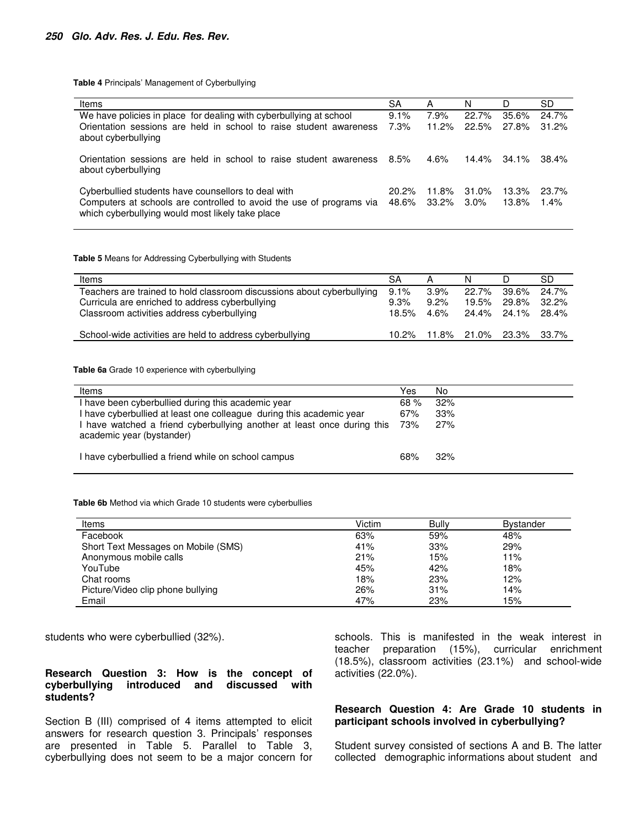**Table 4** Principals' Management of Cyberbullying

| Items                                                                                                                                                                           | SA                | A              | N                | D                 | SD             |
|---------------------------------------------------------------------------------------------------------------------------------------------------------------------------------|-------------------|----------------|------------------|-------------------|----------------|
| We have policies in place for dealing with cyberbullying at school<br>Orientation sessions are held in school to raise student awareness<br>about cyberbullying                 | 9.1%<br>7.3%      | 7.9%<br>11.2%  | 22.7%<br>22.5%   | 35.6%<br>27.8%    | 24.7%<br>31.2% |
| Orientation sessions are held in school to raise student awareness<br>about cyberbullying                                                                                       | 8.5%              | 4.6%           | $14.4\%$         | 34.1%             | 38.4%          |
| Cyberbullied students have counsellors to deal with<br>Computers at schools are controlled to avoid the use of programs via<br>which cyberbullying would most likely take place | $20.2\%$<br>48.6% | 11.8%<br>33.2% | 31.0%<br>$3.0\%$ | $13.3\%$<br>13.8% | 23.7%<br>1.4%  |

**Table 5** Means for Addressing Cyberbullying with Students

| Items                                                                                         | SA            |                 |                               |                      | SD             |
|-----------------------------------------------------------------------------------------------|---------------|-----------------|-------------------------------|----------------------|----------------|
| Teachers are trained to hold classroom discussions about cyberbullying                        | 9.1%          | 3.9%            | 22.7%                         | 39.6%                | 24.7%          |
| Curricula are enriched to address cyberbullying<br>Classroom activities address cyberbullying | 9.3%<br>18.5% | $9.2\%$<br>4.6% | 19.5%                         | 29.8%<br>24.4% 24.1% | 32.2%<br>28.4% |
| School-wide activities are held to address cyberbullying                                      |               |                 | 10.2% 11.8% 21.0% 23.3% 33.7% |                      |                |

**Table 6a** Grade 10 experience with cyberbullying

| Items                                                                                                | Yes | No  |
|------------------------------------------------------------------------------------------------------|-----|-----|
| I have been cyberbullied during this academic year                                                   | 68% | 32% |
| I have cyberbullied at least one colleague during this academic year                                 | 67% | 33% |
| I have watched a friend cyberbullying another at least once during this<br>academic year (bystander) | 73% | 27% |
| I have cyberbullied a friend while on school campus                                                  | 68% | 32% |

**Table 6b** Method via which Grade 10 students were cyberbullies

| Items                               | Victim | Bully | <b>Bystander</b> |
|-------------------------------------|--------|-------|------------------|
| Facebook                            | 63%    | 59%   | 48%              |
| Short Text Messages on Mobile (SMS) | 41%    | 33%   | 29%              |
| Anonymous mobile calls              | 21%    | 15%   | 11%              |
| YouTube                             | 45%    | 42%   | 18%              |
| Chat rooms                          | 18%    | 23%   | 12%              |
| Picture/Video clip phone bullying   | 26%    | 31%   | 14%              |
| Email                               | 47%    | 23%   | 15%              |

students who were cyberbullied (32%).

#### **Research Question 3: How is the concept of cyberbullying introduced and discussed with students?**

Section B (III) comprised of 4 items attempted to elicit answers for research question 3. Principals' responses are presented in Table 5. Parallel to Table 3, cyberbullying does not seem to be a major concern for schools. This is manifested in the weak interest in teacher preparation (15%), curricular enrichment (18.5%), classroom activities (23.1%) and school-wide activities (22.0%).

#### **Research Question 4: Are Grade 10 students in participant schools involved in cyberbullying?**

Student survey consisted of sections A and B. The latter collected demographic informations about student and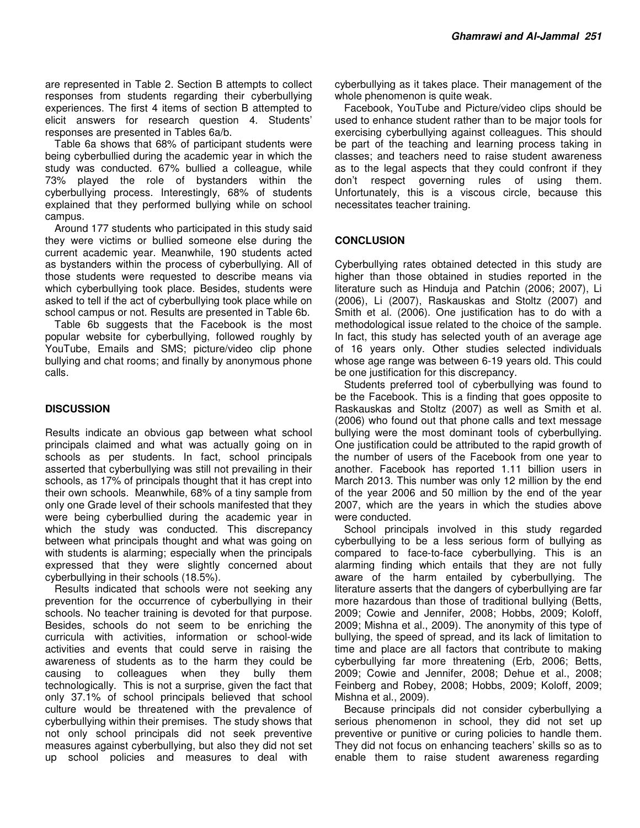are represented in Table 2. Section B attempts to collect responses from students regarding their cyberbullying experiences. The first 4 items of section B attempted to elicit answers for research question 4. Students' responses are presented in Tables 6a/b.

Table 6a shows that 68% of participant students were being cyberbullied during the academic year in which the study was conducted. 67% bullied a colleague, while 73% played the role of bystanders within the cyberbullying process. Interestingly, 68% of students explained that they performed bullying while on school campus.

Around 177 students who participated in this study said they were victims or bullied someone else during the current academic year. Meanwhile, 190 students acted as bystanders within the process of cyberbullying. All of those students were requested to describe means via which cyberbullying took place. Besides, students were asked to tell if the act of cyberbullying took place while on school campus or not. Results are presented in Table 6b.

Table 6b suggests that the Facebook is the most popular website for cyberbullying, followed roughly by YouTube, Emails and SMS; picture/video clip phone bullying and chat rooms; and finally by anonymous phone calls.

## **DISCUSSION**

Results indicate an obvious gap between what school principals claimed and what was actually going on in schools as per students. In fact, school principals asserted that cyberbullying was still not prevailing in their schools, as 17% of principals thought that it has crept into their own schools. Meanwhile, 68% of a tiny sample from only one Grade level of their schools manifested that they were being cyberbullied during the academic year in which the study was conducted. This discrepancy between what principals thought and what was going on with students is alarming; especially when the principals expressed that they were slightly concerned about cyberbullying in their schools (18.5%).

Results indicated that schools were not seeking any prevention for the occurrence of cyberbullying in their schools. No teacher training is devoted for that purpose. Besides, schools do not seem to be enriching the curricula with activities, information or school-wide activities and events that could serve in raising the awareness of students as to the harm they could be causing to colleagues when they bully them technologically. This is not a surprise, given the fact that only 37.1% of school principals believed that school culture would be threatened with the prevalence of cyberbullying within their premises. The study shows that not only school principals did not seek preventive measures against cyberbullying, but also they did not set up school policies and measures to deal with

cyberbullying as it takes place. Their management of the whole phenomenon is quite weak.

Facebook, YouTube and Picture/video clips should be used to enhance student rather than to be major tools for exercising cyberbullying against colleagues. This should be part of the teaching and learning process taking in classes; and teachers need to raise student awareness as to the legal aspects that they could confront if they don't respect governing rules of using them. Unfortunately, this is a viscous circle, because this necessitates teacher training.

#### **CONCLUSION**

Cyberbullying rates obtained detected in this study are higher than those obtained in studies reported in the literature such as Hinduja and Patchin (2006; 2007), Li (2006), Li (2007), Raskauskas and Stoltz (2007) and Smith et al. (2006). One justification has to do with a methodological issue related to the choice of the sample. In fact, this study has selected youth of an average age of 16 years only. Other studies selected individuals whose age range was between 6-19 years old. This could be one justification for this discrepancy.

Students preferred tool of cyberbullying was found to be the Facebook. This is a finding that goes opposite to Raskauskas and Stoltz (2007) as well as Smith et al. (2006) who found out that phone calls and text message bullying were the most dominant tools of cyberbullying. One justification could be attributed to the rapid growth of the number of users of the Facebook from one year to another. Facebook has reported 1.11 billion users in March 2013. This number was only 12 million by the end of the year 2006 and 50 million by the end of the year 2007, which are the years in which the studies above were conducted.

School principals involved in this study regarded cyberbullying to be a less serious form of bullying as compared to face-to-face cyberbullying. This is an alarming finding which entails that they are not fully aware of the harm entailed by cyberbullying. The literature asserts that the dangers of cyberbullying are far more hazardous than those of traditional bullying (Betts, 2009; Cowie and Jennifer, 2008; Hobbs, 2009; Koloff, 2009; Mishna et al., 2009). The anonymity of this type of bullying, the speed of spread, and its lack of limitation to time and place are all factors that contribute to making cyberbullying far more threatening (Erb, 2006; Betts, 2009; Cowie and Jennifer, 2008; Dehue et al., 2008; Feinberg and Robey, 2008; Hobbs, 2009; Koloff, 2009; Mishna et al., 2009).

Because principals did not consider cyberbullying a serious phenomenon in school, they did not set up preventive or punitive or curing policies to handle them. They did not focus on enhancing teachers' skills so as to enable them to raise student awareness regarding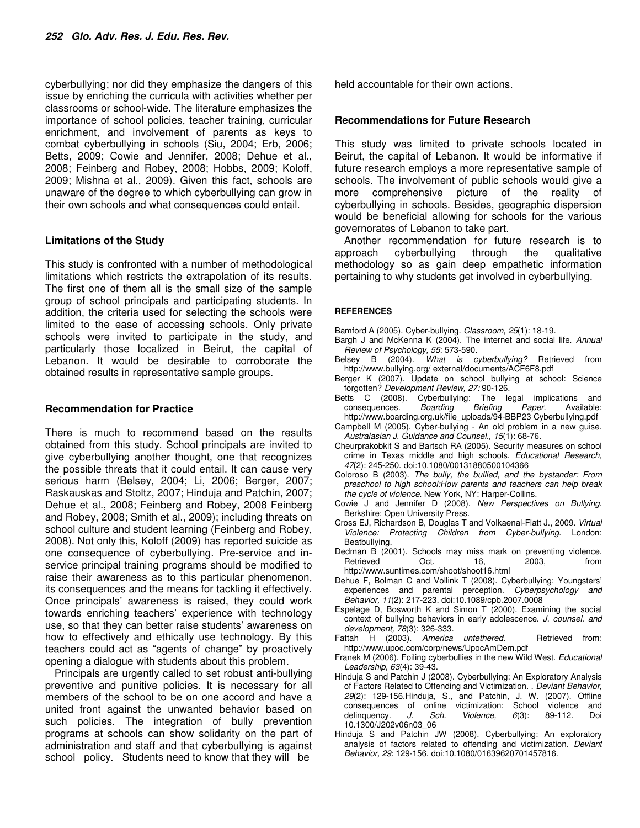cyberbullying; nor did they emphasize the dangers of this issue by enriching the curricula with activities whether per classrooms or school-wide. The literature emphasizes the importance of school policies, teacher training, curricular enrichment, and involvement of parents as keys to combat cyberbullying in schools (Siu, 2004; Erb, 2006; Betts, 2009; Cowie and Jennifer, 2008; Dehue et al., 2008; Feinberg and Robey, 2008; Hobbs, 2009; Koloff, 2009; Mishna et al., 2009). Given this fact, schools are unaware of the degree to which cyberbullying can grow in their own schools and what consequences could entail.

#### **Limitations of the Study**

This study is confronted with a number of methodological limitations which restricts the extrapolation of its results. The first one of them all is the small size of the sample group of school principals and participating students. In addition, the criteria used for selecting the schools were limited to the ease of accessing schools. Only private schools were invited to participate in the study, and particularly those localized in Beirut, the capital of Lebanon. It would be desirable to corroborate the obtained results in representative sample groups.

#### **Recommendation for Practice**

There is much to recommend based on the results obtained from this study. School principals are invited to give cyberbullying another thought, one that recognizes the possible threats that it could entail. It can cause very serious harm (Belsey, 2004; Li, 2006; Berger, 2007; Raskauskas and Stoltz, 2007; Hinduja and Patchin, 2007; Dehue et al., 2008; Feinberg and Robey, 2008 Feinberg and Robey, 2008; Smith et al., 2009); including threats on school culture and student learning (Feinberg and Robey, 2008). Not only this, Koloff (2009) has reported suicide as one consequence of cyberbullying. Pre-service and inservice principal training programs should be modified to raise their awareness as to this particular phenomenon, its consequences and the means for tackling it effectively. Once principals' awareness is raised, they could work towards enriching teachers' experience with technology use, so that they can better raise students' awareness on how to effectively and ethically use technology. By this teachers could act as "agents of change" by proactively opening a dialogue with students about this problem.

Principals are urgently called to set robust anti-bullying preventive and punitive policies. It is necessary for all members of the school to be on one accord and have a united front against the unwanted behavior based on such policies. The integration of bully prevention programs at schools can show solidarity on the part of administration and staff and that cyberbullying is against school policy. Students need to know that they will be

held accountable for their own actions.

#### **Recommendations for Future Research**

This study was limited to private schools located in Beirut, the capital of Lebanon. It would be informative if future research employs a more representative sample of schools. The involvement of public schools would give a more comprehensive picture of the reality of cyberbullying in schools. Besides, geographic dispersion would be beneficial allowing for schools for the various governorates of Lebanon to take part.

Another recommendation for future research is to approach cyberbullying through the qualitative methodology so as gain deep empathetic information pertaining to why students get involved in cyberbullying.

#### **REFERENCES**

- Bamford A (2005). Cyber-bullying. *Classroom, 25*(1): 18-19.
- Bargh J and McKenna K (2004). The internet and social life. *Annual Review of Psychology, 55*: 573-590.
- What is cyberbullying? Retrieved from http://www.bullying.org/ external/documents/ACF6F8.pdf
- Berger K (2007). Update on school bullying at school: Science forgotten? *Development Review, 27:* 90-126.
- Betts C (2008). Cyberbullying: The legal implications and consequences. *Boarding Briefing Paper.* Available: http://www.boarding.org.uk/file\_uploads/94-BBP23 Cyberbullying.pdf
- Campbell M (2005). Cyber-bullying An old problem in a new guise. *Australasian J. Guidance and Counsel., 15*(1): 68-76.
- Cheurprakobkit S and Bartsch RA (2005). Security measures on school crime in Texas middle and high schools. *Educational Research, 47*(2): 245-250. doi:10.1080/00131880500104366
- Coloroso B (2003). *The bully, the bullied, and the bystander: From preschool to high school:How parents and teachers can help break the cycle of violence*. New York, NY: Harper-Collins.
- Cowie J and Jennifer D (2008). *New Perspectives on Bullying*. Berkshire: Open University Press.
- Cross EJ, Richardson B, Douglas T and Volkaenal-Flatt J., 2009. *Virtual Violence: Protecting Children from Cyber-bullying.* London: Beatbullying.
- Dedman B (2001). Schools may miss mark on preventing violence. Retrieved Oct. 16, 2003, from http://www.suntimes.com/shoot/shoot16.html
- Dehue F, Bolman C and Vollink T (2008). Cyberbullying: Youngsters' experiences and parental perception. *Cyberpsychology and Behavior, 11*(2): 217-223. doi:10.1089/cpb.2007.0008
- Espelage D, Bosworth K and Simon T (2000). Examining the social context of bullying behaviors in early adolescence. *J. counsel. and development, 78*(3): 326-333.
- Fattah H (2003). America untethered. Retrieved from: http://www.upoc.com/corp/news/UpocAmDem.pdf
- Franek M (2006). Foiling cyberbullies in the new Wild West. *Educational Leadership, 63*(4): 39-43.
- Hinduja S and Patchin J (2008). Cyberbullying: An Exploratory Analysis of Factors Related to Offending and Victimization. . *Deviant Behavior, 29*(2): 129-156.Hinduja, S., and Patchin, J. W. (2007). Offline consequences of online victimization: School violence and delinguency. J. Sch. Violence. 6(3): 89-112. Doi delinquency. *J. Sch. Violence, 6*(3): 89-112. Doi 10.1300/J202v06n03\_06
- Hinduja S and Patchin JW (2008). Cyberbullying: An exploratory analysis of factors related to offending and victimization. *Deviant Behavior, 29*: 129-156. doi:10.1080/01639620701457816.